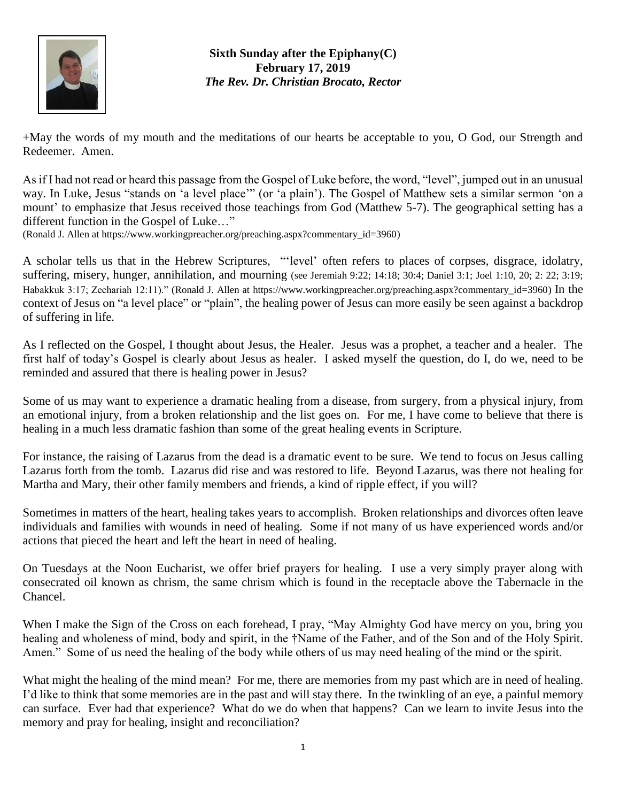

**Sixth Sunday after the Epiphany(C) February 17, 2019** *The Rev. Dr. Christian Brocato, Rector*

+May the words of my mouth and the meditations of our hearts be acceptable to you, O God, our Strength and Redeemer. Amen.

As if I had not read or heard this passage from the Gospel of Luke before, the word, "level", jumped out in an unusual way. In Luke, Jesus "stands on 'a level place'" (or 'a plain'). The Gospel of Matthew sets a similar sermon 'on a mount' to emphasize that Jesus received those teachings from God (Matthew 5-7). The geographical setting has a different function in the Gospel of Luke…"

(Ronald J. Allen at [https://www.workingpreacher.org/preaching.aspx?commentary\\_id=3960\)](https://www.workingpreacher.org/preaching.aspx?commentary_id=3960)

A scholar tells us that in the Hebrew Scriptures, "'level' often refers to places of corpses, disgrace, idolatry, suffering, misery, hunger, annihilation, and mourning (see Jeremiah 9:22; 14:18; 30:4; Daniel 3:1; Joel 1:10, 20; 2: 22; 3:19; Habakkuk 3:17; Zechariah 12:11)." (Ronald J. Allen at [https://www.workingpreacher.org/preaching.aspx?commentary\\_id=3960\)](https://www.workingpreacher.org/preaching.aspx?commentary_id=3960) In the context of Jesus on "a level place" or "plain", the healing power of Jesus can more easily be seen against a backdrop of suffering in life.

As I reflected on the Gospel, I thought about Jesus, the Healer. Jesus was a prophet, a teacher and a healer. The first half of today's Gospel is clearly about Jesus as healer. I asked myself the question, do I, do we, need to be reminded and assured that there is healing power in Jesus?

Some of us may want to experience a dramatic healing from a disease, from surgery, from a physical injury, from an emotional injury, from a broken relationship and the list goes on. For me, I have come to believe that there is healing in a much less dramatic fashion than some of the great healing events in Scripture.

For instance, the raising of Lazarus from the dead is a dramatic event to be sure. We tend to focus on Jesus calling Lazarus forth from the tomb. Lazarus did rise and was restored to life. Beyond Lazarus, was there not healing for Martha and Mary, their other family members and friends, a kind of ripple effect, if you will?

Sometimes in matters of the heart, healing takes years to accomplish. Broken relationships and divorces often leave individuals and families with wounds in need of healing. Some if not many of us have experienced words and/or actions that pieced the heart and left the heart in need of healing.

On Tuesdays at the Noon Eucharist, we offer brief prayers for healing. I use a very simply prayer along with consecrated oil known as chrism, the same chrism which is found in the receptacle above the Tabernacle in the Chancel.

When I make the Sign of the Cross on each forehead, I pray, "May Almighty God have mercy on you, bring you healing and wholeness of mind, body and spirit, in the †Name of the Father, and of the Son and of the Holy Spirit. Amen." Some of us need the healing of the body while others of us may need healing of the mind or the spirit.

What might the healing of the mind mean? For me, there are memories from my past which are in need of healing. I'd like to think that some memories are in the past and will stay there. In the twinkling of an eye, a painful memory can surface. Ever had that experience? What do we do when that happens? Can we learn to invite Jesus into the memory and pray for healing, insight and reconciliation?